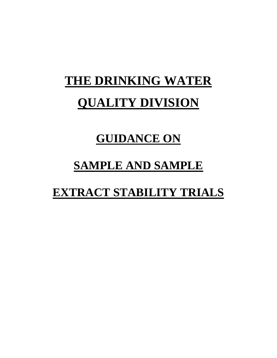## **THE DRINKING WATER QUALITY DIVISION**

### **GUIDANCE ON**

## **SAMPLE AND SAMPLE**

## **EXTRACT STABILITY TRIALS**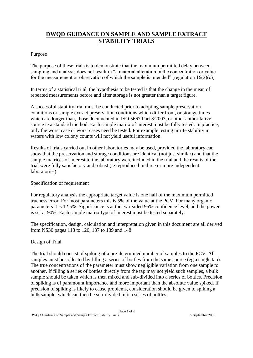### **DWQD GUIDANCE ON SAMPLE AND SAMPLE EXTRACT STABILITY TRIALS**

### Purpose

The purpose of these trials is to demonstrate that the maximum permitted delay between sampling and analysis does not result in "a material alteration in the concentration or value for the measurement or observation of which the sample is intended" (regulation  $16(2)(c)$ ).

In terms of a statistical trial, the hypothesis to be tested is that the change in the mean of repeated measurements before and after storage is not greater than a target figure.

A successful stability trial must be conducted prior to adopting sample preservation conditions or sample extract preservation conditions which differ from, or storage times which are longer than, those documented in ISO 5667 Part 3:2003, or other authoritative source ie a standard method. Each sample matrix of interest must be fully tested. In practice, only the worst case or worst cases need be tested. For example testing nitrite stability in waters with low colony counts will not yield useful information.

Results of trials carried out in other laboratories may be used, provided the laboratory can show that the preservation and storage conditions are identical (not just similar) and that the sample matrices of interest to the laboratory were included in the trial and the results of the trial were fully satisfactory and robust (ie reproduced in three or more independent laboratories).

#### Specification of requirement

For regulatory analysis the appropriate target value is one half of the maximum permitted trueness error. For most parameters this is 5% of the value at the PCV. For many organic parameters it is 12.5%. Significance is at the two-sided 95% confidence level, and the power is set at 90%. Each sample matrix type of interest must be tested separately.

The specification, design, calculation and interpretation given in this document are all derived from NS30 pages 113 to 120, 137 to 139 and 148.

### Design of Trial

The trial should consist of spiking of a pre-determined number of samples to the PCV. All samples must be collected by filling a series of bottles from the same source (eg a single tap). The true concentrations of the parameter must show negligible variation from one sample to another. If filling a series of bottles directly from the tap may not yield such samples, a bulk sample should be taken which is then mixed and sub-divided into a series of bottles. Precision of spiking is of paramount importance and more important than the absolute value spiked. If precision of spiking is likely to cause problems, consideration should be given to spiking a bulk sample, which can then be sub-divided into a series of bottles.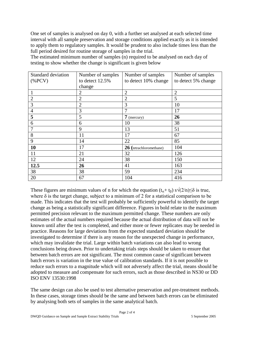One set of samples is analysed on day 0, with a further set analysed at each selected time interval with all sample preservation and storage conditions applied exactly as it is intended to apply them to regulatory samples. It would be prudent to also include times less than the full period desired for routine storage of samples in the trial.

The estimated minimum number of samples (n) required to be analysed on each day of testing to show whether the change is significant is given below

| <b>Standard deviation</b> | Number of samples | Number of samples       | Number of samples   |
|---------------------------|-------------------|-------------------------|---------------------|
| $(%$ (%PCV)               | to detect 12.5%   | to detect 10% change    | to detect 5% change |
|                           | change            |                         |                     |
| 1                         | 2                 | $\overline{2}$          | $\overline{2}$      |
| $\overline{2}$            | $\overline{2}$    | 2                       | 5                   |
| 3                         | $\overline{2}$    | 3                       | 10                  |
| $\overline{4}$            | 3                 | 7                       | 17                  |
| 5                         | 5                 | $7$ (mercury)           | 26                  |
| 6                         | 6                 | 10                      | 38                  |
| 7                         | 9                 | 13                      | 51                  |
| 8                         | 11                | 17                      | 67                  |
| 9                         | 14                | 22                      | 85                  |
| 10                        | 17                | 26 (tetrachloromethane) | 104                 |
| 11                        | 21                | 32                      | 126                 |
| 12                        | 24                | 38                      | 150                 |
| 12.5                      | 26                | 41                      | 163                 |
| 38                        | 38                | 59                      | 234                 |
| 20                        | 67                | 104                     | 416                 |

These figures are minimum values of n for which the equation  $(t_{\alpha} + t_{\beta}) s\sqrt{(2/n)} \leq \delta$  is true, where  $\delta$  is the target change, subject to a minimum of 2 for a statistical comparison to be made. This indicates that the test will probably be sufficiently powerful to identify the target change as being a statistically significant difference. Figures in bold relate to the maximum permitted precision relevant to the maximum permitted change. These numbers are only estimates of the actual numbers required because the actual distribution of data will not be known until after the test is completed, and either more or fewer replicates may be needed in practice. Reasons for large deviations from the expected standard deviation should be investigated to determine if there is any reason for the unexpected change in performance, which may invalidate the trial. Large within batch variations can also lead to wrong conclusions being drawn. Prior to undertaking trials steps should be taken to ensure that between batch errors are not significant. The most common cause of significant between batch errors is variation in the true value of calibration standards. If it is not possible to reduce such errors to a magnitude which will not adversely affect the trial, means should be adopted to measure and compensate for such errors, such as those described in NS30 or DD ISO ENV 13530:1998

The same design can also be used to test alternative preservation and pre-treatment methods. In these cases, storage times should be the same and between batch errors can be eliminated by analysing both sets of samples in the same analytical batch.

Page 2 of 4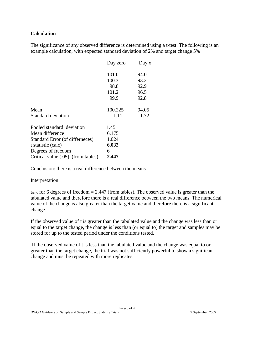### **Calculation**

The significance of any observed difference is determined using a t-test. The following is an example calculation, with expected standard deviation of 2% and target change 5%

|                                    | Day zero | Day x |
|------------------------------------|----------|-------|
|                                    | 101.0    | 94.0  |
|                                    | 100.3    | 93.2  |
|                                    | 98.8     | 92.9  |
|                                    | 101.2    | 96.5  |
|                                    | 99.9     | 92.8  |
| Mean                               | 100.225  | 94.05 |
| Standard deviation                 | 1.11     | 1.72  |
| Pooled standard deviation          | 1.45     |       |
| Mean difference                    | 6.175    |       |
| Standard Error (of differneces)    | 1.024    |       |
| t statistic (calc)                 | 6.032    |       |
| Degrees of freedom                 | 6        |       |
| Critical value (.05) (from tables) | 2.447    |       |

Conclusion: there is a real difference between the means.

#### Interpretation

 $t_{0.05}$  for 6 degrees of freedom = 2.447 (from tables). The observed value is greater than the tabulated value and therefore there is a real difference between the two means. The numerical value of the change is also greater than the target value and therefore there is a significant change.

If the observed value of t is greater than the tabulated value and the change was less than or equal to the target change, the change is less than (or equal to) the target and samples may be stored for up to the tested period under the conditions tested.

If the observed value of t is less than the tabulated value and the change was equal to or greater than the target change, the trial was not sufficiently powerful to show a significant change and must be repeated with more replicates.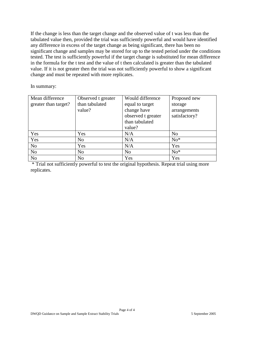If the change is less than the target change and the observed value of t was less than the tabulated value then, provided the trial was sufficiently powerful and would have identified any difference in excess of the target change as being significant, there has been no significant change and samples may be stored for up to the tested period under the conditions tested. The test is sufficiently powerful if the target change is substituted for mean difference in the formula for the t test and the value of t then calculated is greater than the tabulated value. If it is not greater then the trial was not sufficiently powerful to show a significant change and must be repeated with more replicates.

In summary:

| Mean difference      | Observed t greater | Would difference   | Proposed new   |
|----------------------|--------------------|--------------------|----------------|
| greater than target? | than tabulated     | equal to target    | storage        |
|                      | value?             | change have        | arrangements   |
|                      |                    | observed t greater | satisfactory?  |
|                      |                    | than tabulated     |                |
|                      |                    | value?             |                |
| Yes                  | Yes                | N/A                | N <sub>o</sub> |
| Yes                  | N <sub>o</sub>     | N/A                | $No*$          |
| N <sub>o</sub>       | Yes                | N/A                | Yes            |
| No                   | N <sub>o</sub>     | N <sub>o</sub>     | $No*$          |
| N <sub>o</sub>       | N <sub>o</sub>     | Yes                | Yes            |

\* Trial not sufficiently powerful to test the original hypothesis. Repeat trial using more replicates.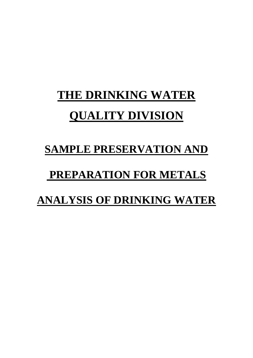# **THE DRINKING WATER QUALITY DIVISION**

## **SAMPLE PRESERVATION AND**

## **PREPARATION FOR METALS**

## **ANALYSIS OF DRINKING WATER**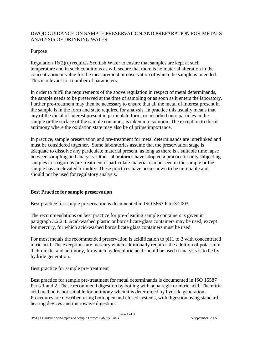### DWQD GUIDANCE ON SAMPLE PRESERVATION AND PREPARATION FOR METALS ANALYSIS OF DRINKING WATER

### Purpose

Regulation 16(2)(c) requires Scottish Water to ensure that samples are kept at such temperature and in such conditions as will secure that there is no material alteration in the concentration or value for the measurement or observation of which the sample is intended. This is relevant to a number of parameters.

In order to fulfil the requirements of the above regulation in respect of metal determinands, the sample needs to be preserved at the time of sampling or as soon as it enters the laboratory. Further pre-treatment may then be necessary to ensure that all the metal of interest present in the sample is in the form and state required for analysis. In practice this usually means that any of the metal of interest present in particulate form, or adsorbed onto particles in the sample or the surface of the sample container, is taken into solution. The exception to this is antimony where the oxidation state may also be of prime importance.

In practice, sample preservation and pre-treatment for metal determinands are interlinked and must be considered together. Some laboratories assume that the preservation stage is adequate to dissolve any particulate material present, as long as there is a suitable time lapse between sampling and analysis. Other laboratories have adopted a practice of only subjecting samples to a rigorous pre-treatment if particulate material can be seen in the sample or the sample has an elevated turbidity. These practices have been shown to be unreliable and should not be used for regulatory analysis.

### **Best Practice for sample preservation**

Best practice for sample preservation is documented in ISO 5667 Part 3:2003.

The recommendations on best practice for pre-cleaning sample containers is given in paragraph 3.2.2.4. Acid-washed plastic or borosilicate glass containers may be used, except for mercury, for which acid-washed borosilicate glass containers must be used.

For most metals the recommended preservation is acidification to pH1 to 2 with concentrated nitric acid. The exceptions are mercury which additionally requires the addition of potassium dichromate, and antimony, for which hydrochloric acid should be used if analysis is to be by hydride generation.

Best practice for sample pre-treatment

Best practice for sample pre-treatment for metal determinands is documented in ISO 15587 Parts 1 and 2. These recommend digestion by boiling with aqua regia or nitric acid. The nitric acid method is not suitable for antimony when it is determined by hydride generation. Procedures are described using both open and closed systems, with digestion using standard heating devices and microwave digestion.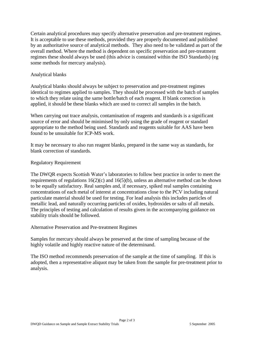Certain analytical procedures may specify alternative preservation and pre-treatment regimes. It is acceptable to use these methods, provided they are properly documented and published by an authoritative source of analytical methods. They also need to be validated as part of the overall method. Where the method is dependent on specific preservation and pre-treatment regimes these should always be used (this advice is contained within the ISO Standards) (eg some methods for mercury analysis).

### Analytical blanks

Analytical blanks should always be subject to preservation and pre-treatment regimes identical to regimes applied to samples. They should be processed with the batch of samples to which they relate using the same bottle/batch of each reagent. If blank correction is applied, it should be these blanks which are used to correct all samples in the batch.

When carrying out trace analysis, contamination of reagents and standards is a significant source of error and should be minimised by only using the grade of reagent or standard appropriate to the method being used. Standards and reagents suitable for AAS have been found to be unsuitable for ICP-MS work.

It may be necessary to also run reagent blanks, prepared in the same way as standards, for blank correction of standards.

### Regulatory Requirement

The DWQR expects Scottish Water's laboratories to follow best practice in order to meet the requirements of regulations  $16(2)(c)$  and  $16(5)(b)$ , unless an alternative method can be shown to be equally satisfactory. Real samples and, if necessary, spiked real samples containing concentrations of each metal of interest at concentrations close to the PCV including natural particulate material should be used for testing. For lead analysis this includes particles of metallic lead, and naturally occurring particles of oxides, hydroxides or salts of all metals. The principles of testing and calculation of results given in the accompanying guidance on stability trials should be followed.

Alternative Preservation and Pre-treatment Regimes

Samples for mercury should always be preserved at the time of sampling because of the highly volatile and highly reactive nature of the determinand.

The ISO method recommends preservation of the sample at the time of sampling. If this is adopted, then a representative aliquot may be taken from the sample for pre-treatment prior to analysis.